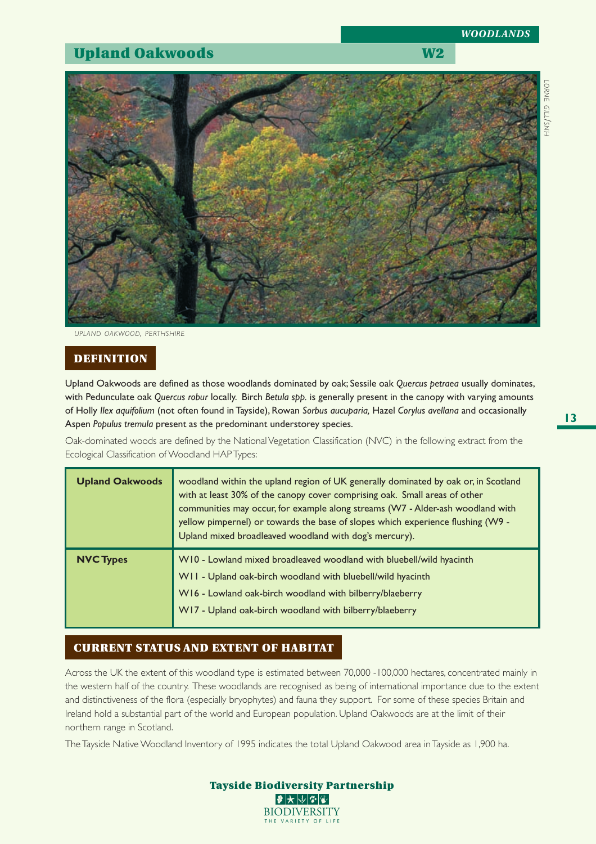# **Upland Oakwoods** W2

*WOODLANDS*



*UPLAND OAKWOOD, PERTHSHIRE*

### **DEFINITION**

Upland Oakwoods are defined as those woodlands dominated by oak; Sessile oak *Quercus petraea* usually dominates, with Pedunculate oak *Quercus robur* locally. Birch *Betula spp.* is generally present in the canopy with varying amounts of Holly *Ilex aquifolium* (not often found in Tayside), Rowan *Sorbus aucuparia,* Hazel *Corylus avellana* and occasionally Aspen *Populus tremula* present as the predominant understorey species.

Oak-dominated woods are defined by the National Vegetation Classification (NVC) in the following extract from the Ecological Classification of Woodland HAP Types:

| <b>Upland Oakwoods</b> | woodland within the upland region of UK generally dominated by oak or, in Scotland<br>with at least 30% of the canopy cover comprising oak. Small areas of other<br>communities may occur, for example along streams (W7 - Alder-ash woodland with<br>yellow pimpernel) or towards the base of slopes which experience flushing (W9 -<br>Upland mixed broadleaved woodland with dog's mercury). |  |  |  |  |  |  |
|------------------------|-------------------------------------------------------------------------------------------------------------------------------------------------------------------------------------------------------------------------------------------------------------------------------------------------------------------------------------------------------------------------------------------------|--|--|--|--|--|--|
| <b>NVC Types</b>       | W10 - Lowland mixed broadleaved woodland with bluebell/wild hyacinth<br>W11 - Upland oak-birch woodland with bluebell/wild hyacinth<br>W16 - Lowland oak-birch woodland with bilberry/blaeberry<br>W17 - Upland oak-birch woodland with bilberry/blaeberry                                                                                                                                      |  |  |  |  |  |  |

#### **CURRENT STATUS AND EXTENT OF HABITAT**

Across the UK the extent of this woodland type is estimated between 70,000 -100,000 hectares, concentrated mainly in the western half of the country. These woodlands are recognised as being of international importance due to the extent and distinctiveness of the flora (especially bryophytes) and fauna they support. For some of these species Britain and Ireland hold a substantial part of the world and European population. Upland Oakwoods are at the limit of their northern range in Scotland.

The Tayside Native Woodland Inventory of 1995 indicates the total Upland Oakwood area in Tayside as 1,900 ha.

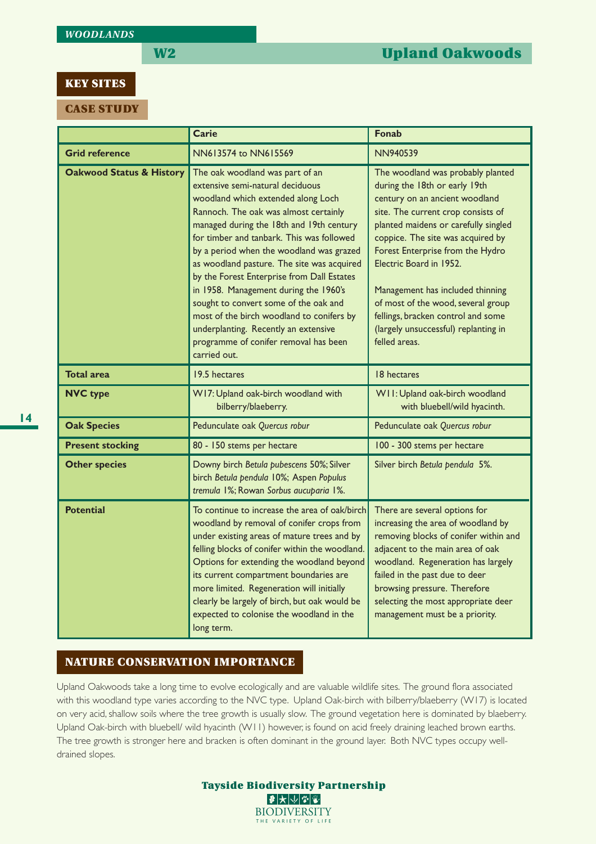#### **KEY SITES**

**CASE STUDY**

|                                     | Carie                                                                                                                                                                                                                                                                                                                                                                                                                                                                                                                                                                                                               | <b>Fonab</b>                                                                                                                                                                                                                                                                                                                                                                                                                                                    |  |  |  |  |  |  |
|-------------------------------------|---------------------------------------------------------------------------------------------------------------------------------------------------------------------------------------------------------------------------------------------------------------------------------------------------------------------------------------------------------------------------------------------------------------------------------------------------------------------------------------------------------------------------------------------------------------------------------------------------------------------|-----------------------------------------------------------------------------------------------------------------------------------------------------------------------------------------------------------------------------------------------------------------------------------------------------------------------------------------------------------------------------------------------------------------------------------------------------------------|--|--|--|--|--|--|
| <b>Grid reference</b>               | NN613574 to NN615569                                                                                                                                                                                                                                                                                                                                                                                                                                                                                                                                                                                                | <b>NN940539</b>                                                                                                                                                                                                                                                                                                                                                                                                                                                 |  |  |  |  |  |  |
| <b>Oakwood Status &amp; History</b> | The oak woodland was part of an<br>extensive semi-natural deciduous<br>woodland which extended along Loch<br>Rannoch. The oak was almost certainly<br>managed during the 18th and 19th century<br>for timber and tanbark. This was followed<br>by a period when the woodland was grazed<br>as woodland pasture. The site was acquired<br>by the Forest Enterprise from Dall Estates<br>in 1958. Management during the 1960's<br>sought to convert some of the oak and<br>most of the birch woodland to conifers by<br>underplanting. Recently an extensive<br>programme of conifer removal has been<br>carried out. | The woodland was probably planted<br>during the 18th or early 19th<br>century on an ancient woodland<br>site. The current crop consists of<br>planted maidens or carefully singled<br>coppice. The site was acquired by<br>Forest Enterprise from the Hydro<br>Electric Board in 1952.<br>Management has included thinning<br>of most of the wood, several group<br>fellings, bracken control and some<br>(largely unsuccessful) replanting in<br>felled areas. |  |  |  |  |  |  |
| <b>Total area</b>                   | 19.5 hectares                                                                                                                                                                                                                                                                                                                                                                                                                                                                                                                                                                                                       | 18 hectares                                                                                                                                                                                                                                                                                                                                                                                                                                                     |  |  |  |  |  |  |
| <b>NVC type</b>                     | W17: Upland oak-birch woodland with<br>bilberry/blaeberry.                                                                                                                                                                                                                                                                                                                                                                                                                                                                                                                                                          | W11: Upland oak-birch woodland<br>with bluebell/wild hyacinth.                                                                                                                                                                                                                                                                                                                                                                                                  |  |  |  |  |  |  |
| <b>Oak Species</b>                  | Pedunculate oak Quercus robur                                                                                                                                                                                                                                                                                                                                                                                                                                                                                                                                                                                       | Pedunculate oak Quercus robur                                                                                                                                                                                                                                                                                                                                                                                                                                   |  |  |  |  |  |  |
| <b>Present stocking</b>             | 80 - 150 stems per hectare                                                                                                                                                                                                                                                                                                                                                                                                                                                                                                                                                                                          | 100 - 300 stems per hectare                                                                                                                                                                                                                                                                                                                                                                                                                                     |  |  |  |  |  |  |
| <b>Other species</b>                | Downy birch Betula pubescens 50%; Silver<br>birch Betula pendula 10%; Aspen Populus<br>tremula 1%; Rowan Sorbus aucuparia 1%.                                                                                                                                                                                                                                                                                                                                                                                                                                                                                       | Silver birch Betula pendula 5%.                                                                                                                                                                                                                                                                                                                                                                                                                                 |  |  |  |  |  |  |
| <b>Potential</b>                    | To continue to increase the area of oak/birch<br>woodland by removal of conifer crops from<br>under existing areas of mature trees and by<br>felling blocks of conifer within the woodland.<br>Options for extending the woodland beyond<br>its current compartment boundaries are<br>more limited. Regeneration will initially<br>clearly be largely of birch, but oak would be<br>expected to colonise the woodland in the<br>long term.                                                                                                                                                                          | There are several options for<br>increasing the area of woodland by<br>removing blocks of conifer within and<br>adjacent to the main area of oak<br>woodland. Regeneration has largely<br>failed in the past due to deer<br>browsing pressure. Therefore<br>selecting the most appropriate deer<br>management must be a priority.                                                                                                                               |  |  |  |  |  |  |

### **NATURE CONSERVATION IMPORTANCE**

Upland Oakwoods take a long time to evolve ecologically and are valuable wildlife sites. The ground flora associated with this woodland type varies according to the NVC type. Upland Oak-birch with bilberry/blaeberry (W17) is located on very acid, shallow soils where the tree growth is usually slow. The ground vegetation here is dominated by blaeberry. Upland Oak-birch with bluebell/ wild hyacinth (W11) however, is found on acid freely draining leached brown earths. The tree growth is stronger here and bracken is often dominant in the ground layer. Both NVC types occupy welldrained slopes.

**Tayside Biodiversity Partnership**  $\bullet\star\smash\downarrow\smash\downarrow\smash\downarrow\urcorner$ **BIODIVERSITY** THE VARIETY OF LIFE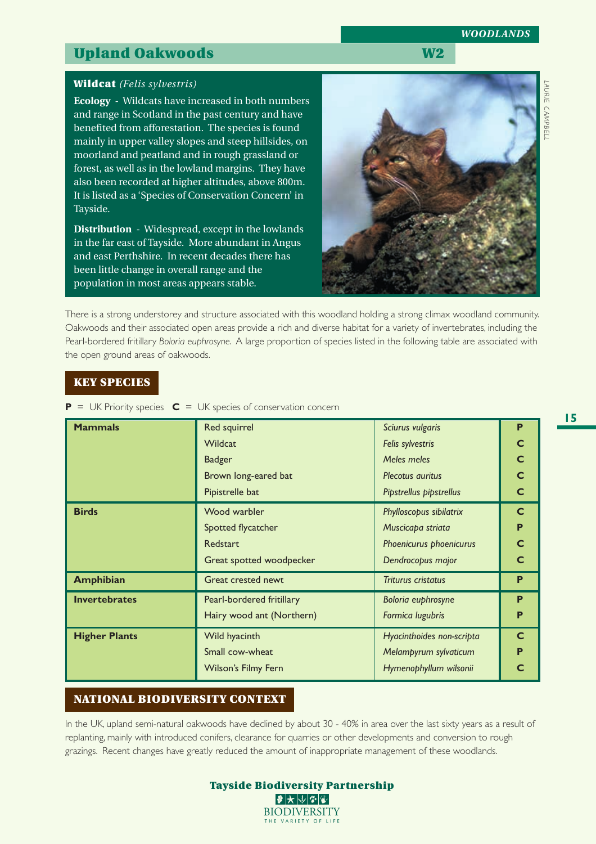# **Upland Oakwoods** W2

### **Wildcat** *(Felis sylvestris)*

**Ecology** - Wildcats have increased in both numbers and range in Scotland in the past century and have benefited from afforestation. The species is found mainly in upper valley slopes and steep hillsides, on moorland and peatland and in rough grassland or forest, as well as in the lowland margins. They have also been recorded at higher altitudes, above 800m. It is listed as a 'Species of Conservation Concern' in Tayside.

**Distribution** - Widespread, except in the lowlands in the far east of Tayside. More abundant in Angus and east Perthshire. In recent decades there has been little change in overall range and the population in most areas appears stable.

# There is a strong understorey and structure associated with this woodland holding a strong climax woodland community. Oakwoods and their associated open areas provide a rich and diverse habitat for a variety of invertebrates, including the Pearl-bordered fritillary *Boloria euphrosyne*. A large proportion of species listed in the following table are associated with the open ground areas of oakwoods.

# **KEY SPECIES**

**P** = UK Priority species  $C = UK$  species of conservation concern

| <b>Mammals</b>       | Red squirrel<br><b>Wildcat</b><br><b>Badger</b><br>Brown long-eared bat | Sciurus vulgaris<br>Felis sylvestris<br>Meles meles<br>Plecotus <i>auritus</i> | P            |  |  |  |  |
|----------------------|-------------------------------------------------------------------------|--------------------------------------------------------------------------------|--------------|--|--|--|--|
|                      | Pipistrelle bat                                                         | Pipstrellus pipstrellus                                                        |              |  |  |  |  |
| <b>Birds</b>         | Phylloscopus sibilatrix                                                 | $\mathsf{C}$                                                                   |              |  |  |  |  |
|                      | Spotted flycatcher<br>Muscicapa striata                                 |                                                                                |              |  |  |  |  |
|                      | Redstart                                                                | Phoenicurus phoenicurus                                                        |              |  |  |  |  |
|                      | Great spotted woodpecker                                                | Dendrocopus major                                                              |              |  |  |  |  |
| <b>Amphibian</b>     | Great crested newt                                                      | <b>Triturus cristatus</b>                                                      | P            |  |  |  |  |
| <b>Invertebrates</b> | Pearl-bordered fritillary                                               | Boloria euphrosyne                                                             |              |  |  |  |  |
|                      | Hairy wood ant (Northern)<br>Formica lugubris                           |                                                                                |              |  |  |  |  |
| <b>Higher Plants</b> | Wild hyacinth                                                           | Hyacinthoides non-scripta                                                      | $\mathsf{C}$ |  |  |  |  |
|                      | Small cow-wheat<br>Melampyrum sylvaticum                                |                                                                                |              |  |  |  |  |
|                      | <b>Wilson's Filmy Fern</b>                                              | Hymenophyllum wilsonii                                                         |              |  |  |  |  |

# **NATIONAL BIODIVERSITY CONTEXT**

In the UK, upland semi-natural oakwoods have declined by about 30 - 40% in area over the last sixty years as a result of replanting, mainly with introduced conifers, clearance for quarries or other developments and conversion to rough grazings. Recent changes have greatly reduced the amount of inappropriate management of these woodlands.

THE VARIETY OF LI

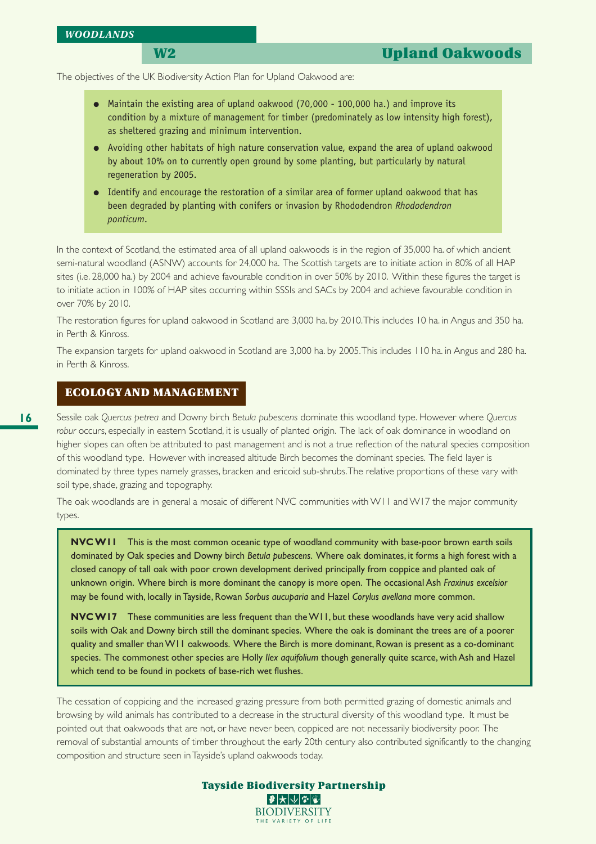The objectives of the UK Biodiversity Action Plan for Upland Oakwood are:

- Maintain the existing area of upland oakwood (70,000 100,000 ha.) and improve its condition by a mixture of management for timber (predominately as low intensity high forest), as sheltered grazing and minimum intervention.
- Avoiding other habitats of high nature conservation value, expand the area of upland oakwood by about 10% on to currently open ground by some planting, but particularly by natural regeneration by 2005.
- Identify and encourage the restoration of a similar area of former upland oakwood that has been degraded by planting with conifers or invasion by Rhododendron *Rhododendron ponticum*.

In the context of Scotland, the estimated area of all upland oakwoods is in the region of 35,000 ha. of which ancient semi-natural woodland (ASNW) accounts for 24,000 ha. The Scottish targets are to initiate action in 80% of all HAP sites (i.e. 28,000 ha.) by 2004 and achieve favourable condition in over 50% by 2010. Within these figures the target is to initiate action in 100% of HAP sites occurring within SSSIs and SACs by 2004 and achieve favourable condition in over 70% by 2010.

The restoration figures for upland oakwood in Scotland are 3,000 ha. by 2010. This includes 10 ha. in Angus and 350 ha. in Perth & Kinross.

The expansion targets for upland oakwood in Scotland are 3,000 ha. by 2005. This includes 110 ha. in Angus and 280 ha. in Perth & Kinross.

#### **ECOLOGY AND MANAGEMENT**

soil type, shade, grazing and topography.

Sessile oak *Quercus petrea* and Downy birch *Betula pubescens* dominate this woodland type. However where *Quercus robur* occurs, especially in eastern Scotland, it is usually of planted origin. The lack of oak dominance in woodland on higher slopes can often be attributed to past management and is not a true reflection of the natural species composition of this woodland type. However with increased altitude Birch becomes the dominant species. The field layer is dominated by three types namely grasses, bracken and ericoid sub-shrubs. The relative proportions of these vary with

The oak woodlands are in general a mosaic of different NVC communities with W11 and W17 the major community types.

**NVC W11** This is the most common oceanic type of woodland community with base-poor brown earth soils dominated by Oak species and Downy birch *Betula pubescens*. Where oak dominates, it forms a high forest with a closed canopy of tall oak with poor crown development derived principally from coppice and planted oak of unknown origin. Where birch is more dominant the canopy is more open. The occasional Ash *Fraxinus excelsior* may be found with, locally in Tayside, Rowan *Sorbus aucuparia* and Hazel *Corylus avellana* more common.

**NVC W17** These communities are less frequent than the W11, but these woodlands have very acid shallow soils with Oak and Downy birch still the dominant species. Where the oak is dominant the trees are of a poorer quality and smaller than W11 oakwoods. Where the Birch is more dominant, Rowan is present as a co-dominant species. The commonest other species are Holly *Ilex aquifolium* though generally quite scarce, with Ash and Hazel which tend to be found in pockets of base-rich wet flushes.

The cessation of coppicing and the increased grazing pressure from both permitted grazing of domestic animals and browsing by wild animals has contributed to a decrease in the structural diversity of this woodland type. It must be pointed out that oakwoods that are not, or have never been, coppiced are not necessarily biodiversity poor. The removal of substantial amounts of timber throughout the early 20th century also contributed significantly to the changing composition and structure seen in Tayside's upland oakwoods today.

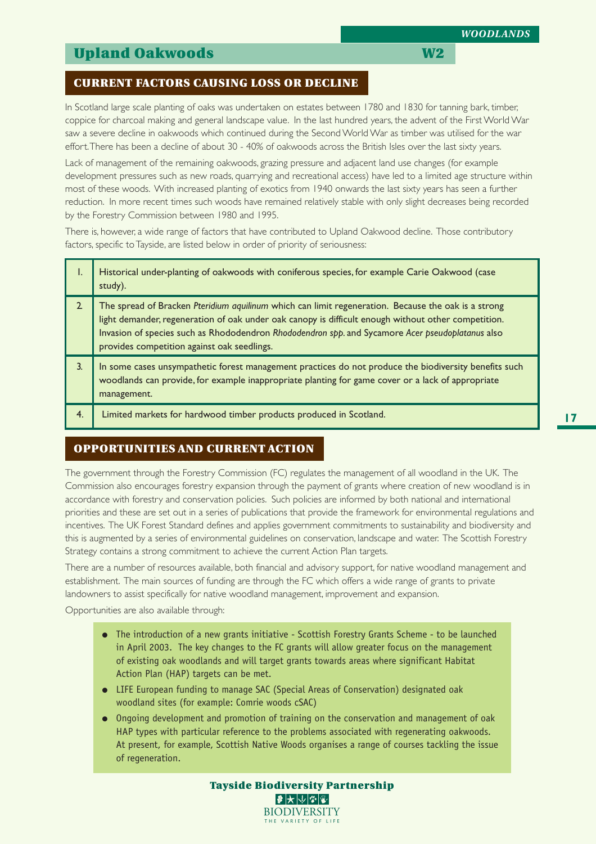# **Upland Oakwoods** W2

## **CURRENT FACTORS CAUSING LOSS OR DECLINE**

In Scotland large scale planting of oaks was undertaken on estates between 1780 and 1830 for tanning bark, timber, coppice for charcoal making and general landscape value. In the last hundred years, the advent of the First World War saw a severe decline in oakwoods which continued during the Second World War as timber was utilised for the war effort. There has been a decline of about 30 - 40% of oakwoods across the British Isles over the last sixty years.

Lack of management of the remaining oakwoods, grazing pressure and adjacent land use changes (for example development pressures such as new roads, quarrying and recreational access) have led to a limited age structure within most of these woods. With increased planting of exotics from 1940 onwards the last sixty years has seen a further reduction. In more recent times such woods have remained relatively stable with only slight decreases being recorded by the Forestry Commission between 1980 and 1995.

There is, however, a wide range of factors that have contributed to Upland Oakwood decline. Those contributory factors, specific to Tayside, are listed below in order of priority of seriousness:

|    | Historical under-planting of oakwoods with coniferous species, for example Carie Oakwood (case<br>study).                                                                                                                                                                                                                                                     |
|----|---------------------------------------------------------------------------------------------------------------------------------------------------------------------------------------------------------------------------------------------------------------------------------------------------------------------------------------------------------------|
|    | The spread of Bracken Pteridium aquilinum which can limit regeneration. Because the oak is a strong<br>light demander, regeneration of oak under oak canopy is difficult enough without other competition.<br>Invasion of species such as Rhododendron Rhododendron spp. and Sycamore Acer pseudoplatanus also<br>provides competition against oak seedlings. |
|    | In some cases unsympathetic forest management practices do not produce the biodiversity benefits such<br>woodlands can provide, for example inappropriate planting for game cover or a lack of appropriate<br>management.                                                                                                                                     |
| 4. | Limited markets for hardwood timber products produced in Scotland.                                                                                                                                                                                                                                                                                            |

# **OPPORTUNITIES AND CURRENT ACTION**

The government through the Forestry Commission (FC) regulates the management of all woodland in the UK. The Commission also encourages forestry expansion through the payment of grants where creation of new woodland is in accordance with forestry and conservation policies. Such policies are informed by both national and international priorities and these are set out in a series of publications that provide the framework for environmental regulations and incentives. The UK Forest Standard defines and applies government commitments to sustainability and biodiversity and this is augmented by a series of environmental guidelines on conservation, landscape and water. The Scottish Forestry Strategy contains a strong commitment to achieve the current Action Plan targets.

There are a number of resources available, both financial and advisory support, for native woodland management and establishment. The main sources of funding are through the FC which offers a wide range of grants to private landowners to assist specifically for native woodland management, improvement and expansion.

Opportunities are also available through:

- The introduction of a new grants initiative Scottish Forestry Grants Scheme to be launched in April 2003. The key changes to the FC grants will allow greater focus on the management of existing oak woodlands and will target grants towards areas where significant Habitat Action Plan (HAP) targets can be met.
- LIFE European funding to manage SAC (Special Areas of Conservation) designated oak woodland sites (for example: Comrie woods cSAC)
- Ongoing development and promotion of training on the conservation and management of oak HAP types with particular reference to the problems associated with regenerating oakwoods. At present, for example, Scottish Native Woods organises a range of courses tackling the issue of regeneration.

#### **Tayside Biodiversity Partnership**  $|\mathcal{F}|$  $\bigtriangledown$   $|\mathcal{V}|$   $|\mathcal{F}|$ **BIODIVERSITY** THE VARIETY OF LI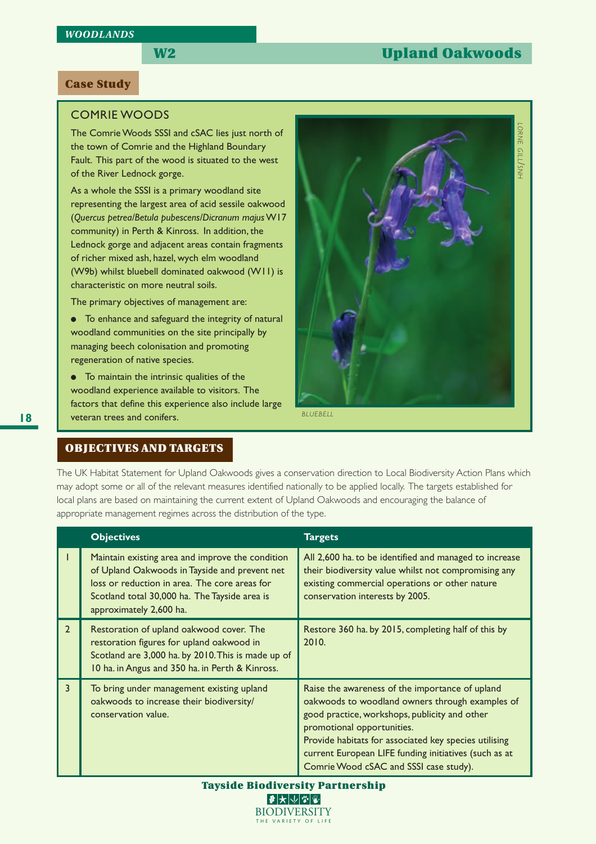# **W2 Upland Oakwoods**

### **Case Study**

### COMRIE WOODS

The Comrie Woods SSSI and cSAC lies just north of the town of Comrie and the Highland Boundary Fault. This part of the wood is situated to the west of the River Lednock gorge.

As a whole the SSSI is a primary woodland site representing the largest area of acid sessile oakwood (*Quercus petrea/Betula pubescens/Dicranum majus* W17 community) in Perth & Kinross. In addition, the Lednock gorge and adjacent areas contain fragments of richer mixed ash, hazel, wych elm woodland (W9b) whilst bluebell dominated oakwood (W11) is characteristic on more neutral soils.

The primary objectives of management are:

● To enhance and safeguard the integrity of natural woodland communities on the site principally by managing beech colonisation and promoting regeneration of native species.

● To maintain the intrinsic qualities of the woodland experience available to visitors. The factors that define this experience also include large veteran trees and conifers.



## **OBJECTIVES AND TARGETS**

The UK Habitat Statement for Upland Oakwoods gives a conservation direction to Local Biodiversity Action Plans which may adopt some or all of the relevant measures identified nationally to be applied locally. The targets established for local plans are based on maintaining the current extent of Upland Oakwoods and encouraging the balance of appropriate management regimes across the distribution of the type.

|                | <b>Objectives</b>                                                                                                                                                                                                              | <b>Targets</b>                                                                                                                                                                                                                                                                                                                                |  |  |  |  |  |
|----------------|--------------------------------------------------------------------------------------------------------------------------------------------------------------------------------------------------------------------------------|-----------------------------------------------------------------------------------------------------------------------------------------------------------------------------------------------------------------------------------------------------------------------------------------------------------------------------------------------|--|--|--|--|--|
|                | Maintain existing area and improve the condition<br>of Upland Oakwoods in Tayside and prevent net<br>loss or reduction in area. The core areas for<br>Scotland total 30,000 ha. The Tayside area is<br>approximately 2,600 ha. | All 2,600 ha. to be identified and managed to increase<br>their biodiversity value whilst not compromising any<br>existing commercial operations or other nature<br>conservation interests by 2005.                                                                                                                                           |  |  |  |  |  |
| $\overline{2}$ | Restoration of upland oakwood cover. The<br>restoration figures for upland oakwood in<br>Scotland are 3,000 ha. by 2010. This is made up of<br>10 ha. in Angus and 350 ha. in Perth & Kinross.                                 | Restore 360 ha. by 2015, completing half of this by<br>2010.                                                                                                                                                                                                                                                                                  |  |  |  |  |  |
| $\overline{3}$ | To bring under management existing upland<br>oakwoods to increase their biodiversity/<br>conservation value.                                                                                                                   | Raise the awareness of the importance of upland<br>oakwoods to woodland owners through examples of<br>good practice, workshops, publicity and other<br>promotional opportunities.<br>Provide habitats for associated key species utilising<br>current European LIFE funding initiatives (such as at<br>Comrie Wood cSAC and SSSI case study). |  |  |  |  |  |

**Tayside Biodiversity Partnership**  $\blacktriangleright$   $\blacktriangleright$   $\blacktriangleright$   $\blacktriangleright$   $\blacktriangleright$ **BIODIVERSITY** THE VARIETY OF LIF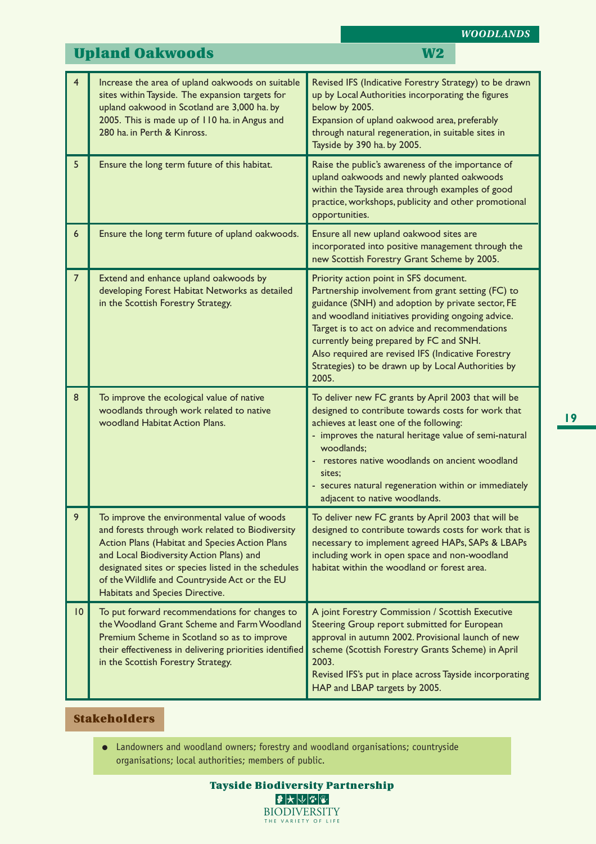|                 | <b>Upland Oakwoods</b>                                                                                                                                                                                                                                                                                                                   | <b>W2</b>                                                                                                                                                                                                                                                                                                                                                                                                                 |  |  |  |  |  |
|-----------------|------------------------------------------------------------------------------------------------------------------------------------------------------------------------------------------------------------------------------------------------------------------------------------------------------------------------------------------|---------------------------------------------------------------------------------------------------------------------------------------------------------------------------------------------------------------------------------------------------------------------------------------------------------------------------------------------------------------------------------------------------------------------------|--|--|--|--|--|
| $\overline{4}$  | Increase the area of upland oakwoods on suitable<br>sites within Tayside. The expansion targets for<br>upland oakwood in Scotland are 3,000 ha. by<br>2005. This is made up of 110 ha. in Angus and<br>280 ha. in Perth & Kinross.                                                                                                       | Revised IFS (Indicative Forestry Strategy) to be drawn<br>up by Local Authorities incorporating the figures<br>below by 2005.<br>Expansion of upland oakwood area, preferably<br>through natural regeneration, in suitable sites in<br>Tayside by 390 ha. by 2005.                                                                                                                                                        |  |  |  |  |  |
| 5               | Ensure the long term future of this habitat.                                                                                                                                                                                                                                                                                             | Raise the public's awareness of the importance of<br>upland oakwoods and newly planted oakwoods<br>within the Tayside area through examples of good<br>practice, workshops, publicity and other promotional<br>opportunities.                                                                                                                                                                                             |  |  |  |  |  |
| 6               | Ensure the long term future of upland oakwoods.                                                                                                                                                                                                                                                                                          | Ensure all new upland oakwood sites are<br>incorporated into positive management through the<br>new Scottish Forestry Grant Scheme by 2005.                                                                                                                                                                                                                                                                               |  |  |  |  |  |
| $\overline{7}$  | Extend and enhance upland oakwoods by<br>developing Forest Habitat Networks as detailed<br>in the Scottish Forestry Strategy.                                                                                                                                                                                                            | Priority action point in SFS document.<br>Partnership involvement from grant setting (FC) to<br>guidance (SNH) and adoption by private sector, FE<br>and woodland initiatives providing ongoing advice.<br>Target is to act on advice and recommendations<br>currently being prepared by FC and SNH.<br>Also required are revised IFS (Indicative Forestry<br>Strategies) to be drawn up by Local Authorities by<br>2005. |  |  |  |  |  |
| 8               | To improve the ecological value of native<br>woodlands through work related to native<br>woodland Habitat Action Plans.                                                                                                                                                                                                                  | To deliver new FC grants by April 2003 that will be<br>designed to contribute towards costs for work that<br>achieves at least one of the following:<br>- improves the natural heritage value of semi-natural<br>woodlands;<br>- restores native woodlands on ancient woodland<br>sites:<br>- secures natural regeneration within or immediately<br>adjacent to native woodlands.                                         |  |  |  |  |  |
| 9               | To improve the environmental value of woods<br>and forests through work related to Biodiversity<br>Action Plans (Habitat and Species Action Plans<br>and Local Biodiversity Action Plans) and<br>designated sites or species listed in the schedules<br>of the Wildlife and Countryside Act or the EU<br>Habitats and Species Directive. | To deliver new FC grants by April 2003 that will be<br>designed to contribute towards costs for work that is<br>necessary to implement agreed HAPs, SAPs & LBAPs<br>including work in open space and non-woodland<br>habitat within the woodland or forest area.                                                                                                                                                          |  |  |  |  |  |
| $\overline{10}$ | To put forward recommendations for changes to<br>the Woodland Grant Scheme and Farm Woodland<br>Premium Scheme in Scotland so as to improve<br>their effectiveness in delivering priorities identified<br>in the Scottish Forestry Strategy.                                                                                             | A joint Forestry Commission / Scottish Executive<br>Steering Group report submitted for European<br>approval in autumn 2002. Provisional launch of new<br>scheme (Scottish Forestry Grants Scheme) in April<br>2003.<br>Revised IFS's put in place across Tayside incorporating<br>HAP and LBAP targets by 2005.                                                                                                          |  |  |  |  |  |

# **Stakeholders**

● Landowners and woodland owners; forestry and woodland organisations; countryside organisations; local authorities; members of public.

*WOODLANDS*